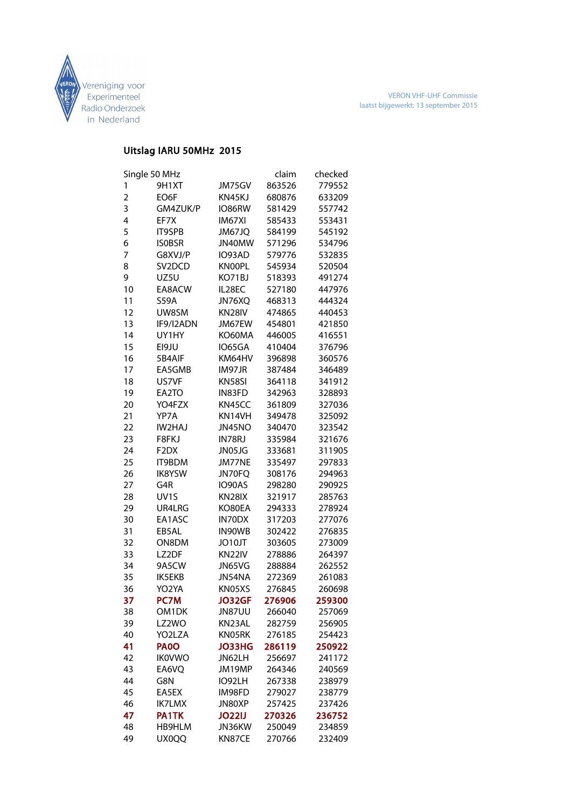

## Uitslag IARU 50MHz 2015

| Single 50 MHz  |                     |                    | claim            | checked |
|----------------|---------------------|--------------------|------------------|---------|
| 1              | 9H <sub>1</sub> XT  | JM75GV             | 863526           | 779552  |
| $\overline{2}$ | EO6F                | KN45KJ             | 680876           | 633209  |
| 3              | GM4ZUK/P            | IO86RW             | 581429           | 557742  |
| 4              | EF7X                | IM67XI             | 585433           | 553431  |
| 5              | <b>IT9SPB</b>       | JM67JQ             | 584199           | 545192  |
| 6              | <b>ISOBSR</b>       | JN40MW             | 571296           | 534796  |
| 7              | G8XVJ/P             | IO93AD             | 579776           | 532835  |
| 8              | SV <sub>2</sub> DCD | <b>KNOOPL</b>      | 545934           | 520504  |
| 9              | UZ5U                | KO71BJ             | 518393           | 491274  |
| 10             | EA8ACW              | IL28EC             | 527180           | 447976  |
| 11             | <b>S59A</b>         | JN76XQ             | 468313           | 444324  |
| 12             | UW8SM               | KN28IV             | 474865           | 440453  |
| 13             | IF9/I2ADN           | JM67EW             | 454801           | 421850  |
| 14             | UY1HY               | KO60MA             | 446005           | 416551  |
| 15             | EI9JU               | IO65GA             | 410404           | 376796  |
| 16             | 5B4AIF              | KM64HV             | 396898           | 360576  |
| 17             | EA5GMB              | IM97JR             | 387484           | 346489  |
| 18             | US7VF               | KN58SI             | 364118           | 341912  |
| 19             | EA2TO               | IN83FD             | 342963           | 328893  |
| 20             | YO4FZX              | KN45CC             | 361809           | 327036  |
| 21             | YP7A                | KN14VH             | 349478           | 325092  |
| 22             | IW2HAJ              | JN45NO             | 340470           | 323542  |
| 23             | F8FKJ               | IN78RJ             | 335984           | 321676  |
| 24             | F <sub>2</sub> DX   | JN05JG             | 333681           | 311905  |
| 25             | <b>IT9BDM</b>       | JM77NE             | 335497           | 297833  |
| 26             | <b>IK8YSW</b>       | JN70FQ             | 308176           | 294963  |
| 27             | G4R                 | IO90AS             | 298280           | 290925  |
| 28             | UV <sub>1</sub> S   | KN28IX             | 321917           | 285763  |
| 29             | UR4LRG              | KO80EA             | 294333           | 278924  |
| 30             | EA1ASC              | IN70DX             | 317203           | 277076  |
| 31             | EB5AL               | IN90WB             | 302422           | 276835  |
| 32             | ON8DM               | JO10JT             | 303605           | 273009  |
| 33             | LZ2DF               | KN <sub>22IV</sub> | 278886           | 264397  |
| 34             | 9A5CW               | JN65VG             | 288884           | 262552  |
| 35             | <b>IK5EKB</b>       | JN54NA             | 272369           | 261083  |
| 36             | YO2YA               | KN05XS             | 276845           | 260698  |
| 37             | <b>PC7M</b>         | <b>JO32GF</b>      | 276906           | 259300  |
| 38             | OM1DK               |                    | 266040           | 257069  |
|                |                     | <b>JN87UU</b>      |                  |         |
| 39             | LZ2WO               | KN23AL             | 282759           | 256905  |
| 40             | YO2LZA              | KN05RK             | 276185           | 254423  |
| 41             | <b>PA00</b>         | <b>JO33HG</b>      | 286119           | 250922  |
| 42             | <b>IK0VWO</b>       | JN62LH             | 256697           | 241172  |
| 43<br>44       | EA6VQ               | JM19MP             | 264346<br>267338 | 240569  |
|                | G8N                 | IO92LH             |                  | 238979  |
| 45             | EA5EX               | IM98FD             | 279027           | 238779  |
| 46             | <b>IK7LMX</b>       | JN80XP             | 257425           | 237426  |
| 47             | PA1TK               | <b>JO22IJ</b>      | 270326           | 236752  |
| 48             | HB9HLM              | JN36KW             | 250049           | 234859  |
| 49             | UX0QQ               | KN87CE             | 270766           | 232409  |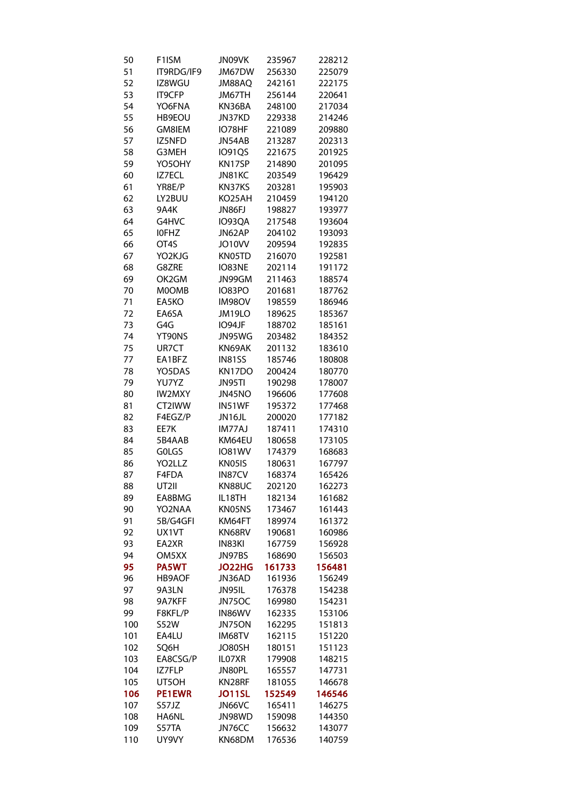| 50  | F <sub>1</sub> ISM | JN09VK        | 235967 | 228212 |
|-----|--------------------|---------------|--------|--------|
| 51  | IT9RDG/IF9         | JM67DW        | 256330 | 225079 |
| 52  | IZ8WGU             | JM88AO        | 242161 | 222175 |
| 53  | <b>IT9CFP</b>      | JM67TH        | 256144 | 220641 |
| 54  | YO6FNA             | KN36BA        | 248100 | 217034 |
| 55  | HB9EOU             | JN37KD        | 229338 | 214246 |
| 56  | GM8IEM             | IO78HF        | 221089 | 209880 |
| 57  | IZ5NFD             | JN54AB        | 213287 | 202313 |
| 58  | G3MEH              | <b>IO91QS</b> | 221675 | 201925 |
| 59  | YO5OHY             | KN17SP        | 214890 | 201095 |
| 60  | IZ7ECL             | JN81KC        | 203549 | 196429 |
|     | YR8E/P             |               | 203281 |        |
| 61  |                    | KN37KS        |        | 195903 |
| 62  | LY2BUU             | KO25AH        | 210459 | 194120 |
| 63  | 9A4K               | JN86FJ        | 198827 | 193977 |
| 64  | G4HVC              | IO93QA        | 217548 | 193604 |
| 65  | <b>IOFHZ</b>       | JN62AP        | 204102 | 193093 |
| 66  | OT <sub>4</sub> S  | JO10VV        | 209594 | 192835 |
| 67  | YO2KJG             | KN05TD        | 216070 | 192581 |
| 68  | G8ZRE              | IO83NE        | 202114 | 191172 |
| 69  | OK2GM              | JN99GM        | 211463 | 188574 |
| 70  | <b>MOOMB</b>       | <b>IO83PO</b> | 201681 | 187762 |
| 71  | EA5KO              | <b>IM98OV</b> | 198559 | 186946 |
| 72  | EA6SA              | JM19LO        | 189625 | 185367 |
| 73  | G4G                | IO94JF        | 188702 | 185161 |
| 74  | YT90NS             | JN95WG        | 203482 | 184352 |
| 75  | UR7CT              | KN69AK        | 201132 | 183610 |
| 77  | EA1BFZ             | <b>IN81SS</b> | 185746 | 180808 |
| 78  | YO5DAS             | KN17DO        | 200424 | 180770 |
| 79  | YU7YZ              | JN95TI        | 190298 | 178007 |
| 80  | <b>IW2MXY</b>      | JN45NO        | 196606 | 177608 |
| 81  | CT2IWW             | IN51WF        | 195372 | 177468 |
| 82  | F4EGZ/P            | JN16JL        |        | 177182 |
|     |                    | IM77AJ        | 200020 |        |
| 83  | EE7K               |               | 187411 | 174310 |
| 84  | 5B4AAB             | KM64EU        | 180658 | 173105 |
| 85  | GOLGS              | <b>IO81WV</b> | 174379 | 168683 |
| 86  | YO2LLZ             | KN05IS        | 180631 | 167797 |
| 87  | F4FDA              | IN87CV        | 168374 | 165426 |
| 88  | UT2II              | KN88UC        | 202120 | 162273 |
| 89  | EA8BMG             | IL18TH        | 182134 | 161682 |
| 90  | YO2NAA             | KN05NS        | 173467 | 161443 |
| 91  | 5B/G4GFI           | KM64FT        | 189974 | 161372 |
| 92  | UX1VT              | KN68RV        | 190681 | 160986 |
| 93  | EA2XR              | IN83KI        | 167759 | 156928 |
| 94  | OM5XX              | JN97BS        | 168690 | 156503 |
| 95  | <b>PA5WT</b>       | <b>JO22HG</b> | 161733 | 156481 |
| 96  | <b>HB9AOF</b>      | JN36AD        | 161936 | 156249 |
| 97  | 9A3LN              | JN95IL        | 176378 | 154238 |
| 98  | 9A7KFF             | JN75OC        | 169980 | 154231 |
| 99  | F8KFL/P            | IN86WV        | 162335 | 153106 |
| 100 | <b>S52W</b>        | JN75ON        | 162295 | 151813 |
| 101 | EA4LU              | IM68TV        | 162115 | 151220 |
| 102 | SQ6H               | JO80SH        | 180151 | 151123 |
| 103 | EA8CSG/P           | IL07XR        | 179908 | 148215 |
| 104 | IZ7FLP             | JN80PL        | 165557 | 147731 |
| 105 | UT5OH              | KN28RF        | 181055 | 146678 |
|     |                    |               |        |        |
| 106 | <b>PE1EWR</b>      | <b>JO11SL</b> | 152549 | 146546 |
| 107 | S57JZ              | JN66VC        | 165411 | 146275 |
| 108 | HA6NL              | JN98WD        | 159098 | 144350 |
| 109 | S57TA              | JN76CC        | 156632 | 143077 |
| 110 | UY9VY              | KN68DM        | 176536 | 140759 |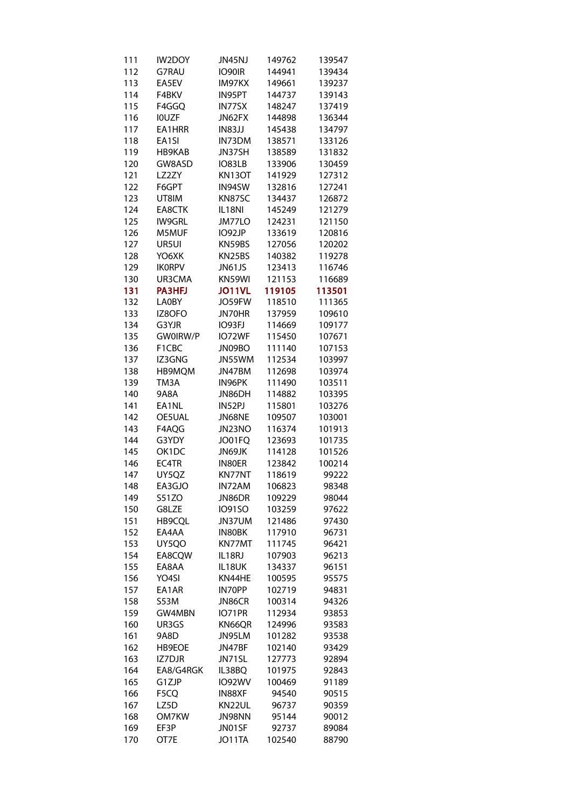| 111 | <b>IW2DOY</b> | JN45NJ        | 149762 | 139547 |
|-----|---------------|---------------|--------|--------|
| 112 | G7RAU         | IO90IR        | 144941 | 139434 |
| 113 | EA5EV         | IM97KX        | 149661 | 139237 |
| 114 | F4BKV         | IN95PT        | 144737 | 139143 |
| 115 | F4GGQ         | IN77SX        | 148247 | 137419 |
| 116 | <b>IOUZF</b>  | JN62FX        | 144898 | 136344 |
| 117 | EA1HRR        | <b>IN83JJ</b> | 145438 | 134797 |
| 118 | EA1SI         | IN73DM        | 138571 | 133126 |
|     |               |               | 138589 |        |
| 119 | HB9KAB        | JN37SH        |        | 131832 |
| 120 | GW8ASD        | <b>IO83LB</b> | 133906 | 130459 |
| 121 | LZ2ZY         | <b>KN13OT</b> | 141929 | 127312 |
| 122 | F6GPT         | IN94SW        | 132816 | 127241 |
| 123 | UT8IM         | KN87SC        | 134437 | 126872 |
| 124 | EA8CTK        | IL18NI        | 145249 | 121279 |
| 125 | <b>IW9GRL</b> | JM77LO        | 124231 | 121150 |
| 126 | M5MUF         | IO92JP        | 133619 | 120816 |
| 127 | UR5UI         | KN59BS        | 127056 | 120202 |
| 128 | YO6XK         | KN25BS        | 140382 | 119278 |
| 129 | <b>IKORPV</b> | <b>JN61JS</b> | 123413 | 116746 |
| 130 | UR3CMA        | KN59WI        | 121153 | 116689 |
| 131 | <b>PA3HFJ</b> | JO11VL        | 119105 | 113501 |
| 132 | <b>LA0BY</b>  | JO59FW        | 118510 | 111365 |
| 133 | IZ8OFO        | JN70HR        | 137959 | 109610 |
| 134 | G3YJR         | IO93FJ        | 114669 | 109177 |
|     |               |               |        |        |
| 135 | GW0IRW/P      | IO72WF        | 115450 | 107671 |
| 136 | F1CBC         | JN09BO        | 111140 | 107153 |
| 137 | IZ3GNG        | JN55WM        | 112534 | 103997 |
| 138 | HB9MQM        | JN47BM        | 112698 | 103974 |
| 139 | TM3A          | IN96PK        | 111490 | 103511 |
| 140 | 9A8A          | JN86DH        | 114882 | 103395 |
| 141 | EA1NL         | IN52PJ        | 115801 | 103276 |
| 142 | OE5UAL        | JN68NE        | 109507 | 103001 |
| 143 | F4AQG         | JN23NO        | 116374 | 101913 |
| 144 | G3YDY         | JO01FQ        | 123693 | 101735 |
| 145 | OK1DC         | JN69JK        | 114128 | 101526 |
| 146 | EC4TR         | IN80ER        | 123842 | 100214 |
| 147 | UY5QZ         | KN77NT        | 118619 | 99222  |
| 148 | EA3GJO        | IN72AM        | 106823 | 98348  |
| 149 | S51ZO         | JN86DR        | 109229 | 98044  |
| 150 | G8LZE         | <b>IO91SO</b> | 103259 | 97622  |
|     |               |               |        |        |
| 151 | HB9CQL        | JN37UM        | 121486 | 97430  |
| 152 | EA4AA         | IN80BK        | 117910 | 96731  |
| 153 | UY5QO         | KN77MT        | 111745 | 96421  |
| 154 | EA8CQW        | IL18RJ        | 107903 | 96213  |
| 155 | EA8AA         | IL18UK        | 134337 | 96151  |
| 156 | YO4SI         | KN44HE        | 100595 | 95575  |
| 157 | EA1AR         | IN70PP        | 102719 | 94831  |
| 158 | S53M          | JN86CR        | 100314 | 94326  |
| 159 | GW4MBN        | IO71PR        | 112934 | 93853  |
| 160 | UR3GS         | KN66QR        | 124996 | 93583  |
| 161 | 9A8D          | JN95LM        | 101282 | 93538  |
| 162 | HB9EOE        | JN47BF        | 102140 | 93429  |
| 163 | IZ7DJR        | JN71SL        | 127773 | 92894  |
| 164 | EA8/G4RGK     | IL38BQ        | 101975 | 92843  |
| 165 | G1ZJP         | <b>IO92WV</b> | 100469 | 91189  |
|     |               |               |        |        |
| 166 | F5CQ          | IN88XF        | 94540  | 90515  |
| 167 | LZ5D          | KN22UL        | 96737  | 90359  |
| 168 | OM7KW         | JN98NN        | 95144  | 90012  |
| 169 | EF3P          | JN01SF        | 92737  | 89084  |
| 170 | OT7E          | JO11TA        | 102540 | 88790  |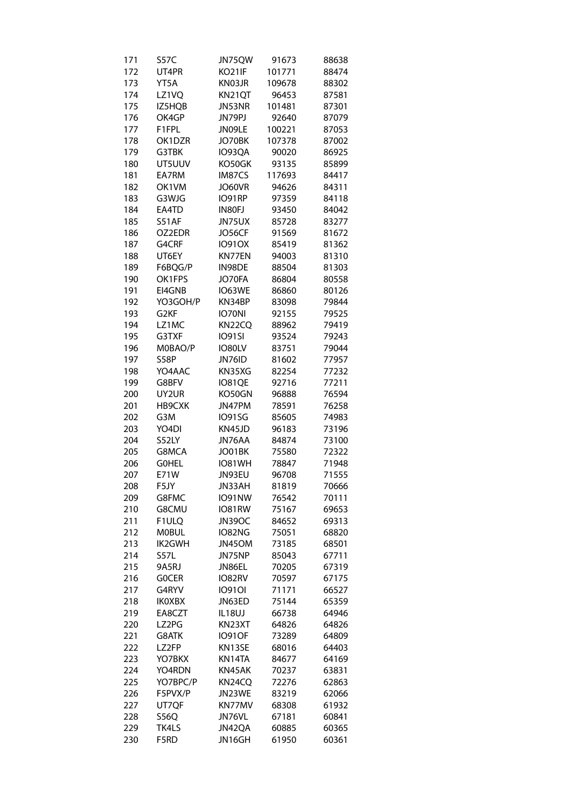| 171 | <b>S57C</b>      | JN75QW        | 91673  | 88638 |
|-----|------------------|---------------|--------|-------|
| 172 | UT4PR            | KO21IF        | 101771 | 88474 |
| 173 | YT5A             | KN03JR        | 109678 | 88302 |
| 174 | LZ1VQ            | KN21QT        | 96453  | 87581 |
| 175 | IZ5HQB           | JN53NR        | 101481 | 87301 |
| 176 | OK4GP            | JN79PJ        | 92640  | 87079 |
| 177 | F1FPL            | JN09LE        |        |       |
|     |                  |               | 100221 | 87053 |
| 178 | OK1DZR           | JO70BK        | 107378 | 87002 |
| 179 | G3TBK            | IO93QA        | 90020  | 86925 |
| 180 | UT5UUV           | KO50GK        | 93135  | 85899 |
| 181 | EA7RM            | IM87CS        | 117693 | 84417 |
| 182 | OK1VM            | JO60VR        | 94626  | 84311 |
| 183 | G3WJG            | IO91RP        | 97359  | 84118 |
| 184 | EA4TD            | IN80FJ        | 93450  | 84042 |
| 185 | S51AF            | JN75UX        | 85728  | 83277 |
| 186 | OZ2EDR           | JO56CF        | 91569  | 81672 |
| 187 | G4CRF            | <b>IO91OX</b> | 85419  | 81362 |
| 188 | UT6EY            | KN77EN        | 94003  | 81310 |
| 189 | F6BQG/P          | IN98DE        | 88504  | 81303 |
| 190 | OK1FPS           | JO70FA        | 86804  | 80558 |
| 191 | EI4GNB           | IO63WE        | 86860  | 80126 |
| 192 | YO3GOH/P         | KN34BP        | 83098  |       |
|     |                  |               |        | 79844 |
| 193 | G <sub>2KF</sub> | IO70NI        | 92155  | 79525 |
| 194 | LZ1MC            | KN22CQ        | 88962  | 79419 |
| 195 | G3TXF            | <b>IO91SI</b> | 93524  | 79243 |
| 196 | M0BAO/P          | IO80LV        | 83751  | 79044 |
| 197 | S58P             | JN76ID        | 81602  | 77957 |
| 198 | YO4AAC           | KN35XG        | 82254  | 77232 |
| 199 | G8BFV            | IO81QE        | 92716  | 77211 |
| 200 | UY2UR            | KO50GN        | 96888  | 76594 |
| 201 | HB9CXK           | JN47PM        | 78591  | 76258 |
| 202 | G3M              | <b>IO91SG</b> | 85605  | 74983 |
| 203 | YO4DI            | KN45JD        | 96183  | 73196 |
| 204 | S52LY            | JN76AA        | 84874  | 73100 |
| 205 | G8MCA            | JO01BK        | 75580  | 72322 |
| 206 | <b>GOHEL</b>     | <b>IO81WH</b> | 78847  | 71948 |
| 207 | E71W             | JN93EU        | 96708  | 71555 |
| 208 | F5JY             | JN33AH        | 81819  | 70666 |
| 209 | G8FMC            | IO91NW        | 76542  | 70111 |
| 210 | G8CMU            | IO81RW        | 75167  | 69653 |
| 211 | F1ULQ            | <b>JN39OC</b> | 84652  | 69313 |
|     |                  |               | 75051  |       |
| 212 | <b>MOBUL</b>     | IO82NG        |        | 68820 |
| 213 | IK2GWH           | JN45OM        | 73185  | 68501 |
| 214 | S57L             | JN75NP        | 85043  | 67711 |
| 215 | 9A5RJ            | JN86EL        | 70205  | 67319 |
| 216 | <b>GOCER</b>     | IO82RV        | 70597  | 67175 |
| 217 | G4RYV            | <b>IO910I</b> | 71171  | 66527 |
| 218 | <b>IKOXBX</b>    | JN63ED        | 75144  | 65359 |
| 219 | EA8CZT           | IL18UJ        | 66738  | 64946 |
| 220 | LZ2PG            | KN23XT        | 64826  | 64826 |
| 221 | G8ATK            | <b>IO91OF</b> | 73289  | 64809 |
| 222 | LZ2FP            | KN13SE        | 68016  | 64403 |
| 223 | YO7BKX           | KN14TA        | 84677  | 64169 |
| 224 | YO4RDN           | KN45AK        | 70237  | 63831 |
| 225 | YO7BPC/P         | KN24CQ        | 72276  | 62863 |
| 226 | F5PVX/P          | JN23WE        | 83219  | 62066 |
| 227 | UT7QF            | KN77MV        | 68308  | 61932 |
| 228 | <b>S56Q</b>      | JN76VL        | 67181  | 60841 |
| 229 | TK4LS            | JN42QA        | 60885  | 60365 |
| 230 | F5RD             | JN16GH        | 61950  | 60361 |
|     |                  |               |        |       |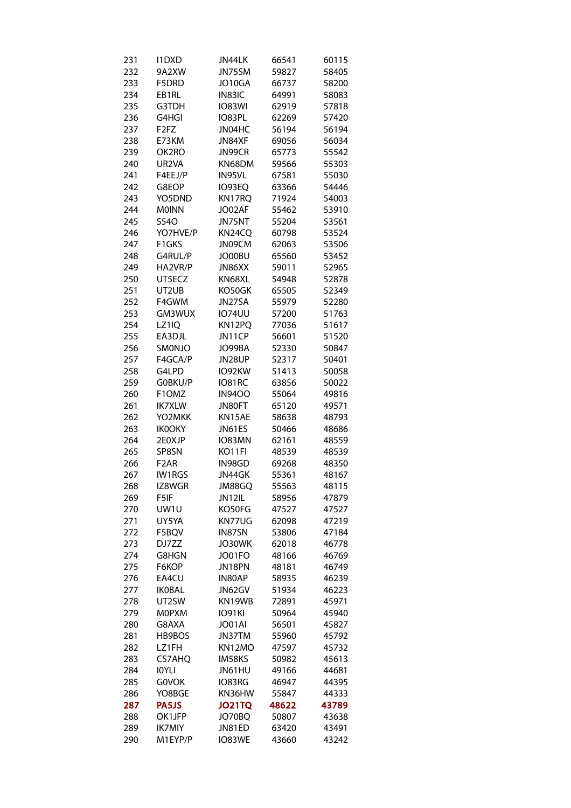| 231 | 11DXD                         | JN44LK        | 66541 | 60115 |
|-----|-------------------------------|---------------|-------|-------|
| 232 | 9A2XW                         | JN75SM        | 59827 | 58405 |
| 233 | F5DRD                         | JO10GA        | 66737 | 58200 |
| 234 | EB1RL                         | IN83IC        | 64991 | 58083 |
| 235 | G3TDH                         | <b>IO83WI</b> | 62919 | 57818 |
| 236 | G4HGI                         | IO83PL        | 62269 | 57420 |
| 237 | F <sub>2</sub> F <sub>Z</sub> | JN04HC        | 56194 | 56194 |
| 238 | E73KM                         | JN84XF        | 69056 | 56034 |
| 239 | OK2RO                         | JN99CR        | 65773 | 55542 |
| 240 | UR2VA                         | KN68DM        | 59566 | 55303 |
|     |                               |               | 67581 |       |
| 241 | F4EEJ/P                       | IN95VL        |       | 55030 |
| 242 | G8EOP                         | IO93EQ        | 63366 | 54446 |
| 243 | YO5DND                        | KN17RQ        | 71924 | 54003 |
| 244 | <b>MOINN</b>                  | JO02AF        | 55462 | 53910 |
| 245 | S54O                          | JN75NT        | 55204 | 53561 |
| 246 | YO7HVE/P                      | KN24CQ        | 60798 | 53524 |
| 247 | F1GKS                         | JN09CM        | 62063 | 53506 |
| 248 | G4RUL/P                       | JO00BU        | 65560 | 53452 |
| 249 | HA2VR/P                       | JN86XX        | 59011 | 52965 |
| 250 | UT5ECZ                        | KN68XL        | 54948 | 52878 |
| 251 | UT2UB                         | KO50GK        | 65505 | 52349 |
| 252 | F4GWM                         | JN27SA        | 55979 | 52280 |
| 253 | GM3WUX                        | <b>IO74UU</b> | 57200 | 51763 |
| 254 | LZ1IQ                         | KN12PQ        | 77036 | 51617 |
| 255 | EA3DJL                        | JN11CP        | 56601 | 51520 |
| 256 | SMONJO                        | JO99BA        | 52330 | 50847 |
| 257 | F4GCA/P                       | JN28UP        | 52317 | 50401 |
| 258 | G4LPD                         | IO92KW        | 51413 | 50058 |
| 259 | G0BKU/P                       | IO81RC        | 63856 | 50022 |
| 260 | F1OMZ                         | <b>IN9400</b> | 55064 | 49816 |
| 261 | <b>IK7XLW</b>                 | JN80FT        | 65120 | 49571 |
| 262 | YO2MKK                        | KN15AE        | 58638 | 48793 |
| 263 | <b>IK0OKY</b>                 | JN61ES        | 50466 | 48686 |
| 264 | 2E0XJP                        | IO83MN        | 62161 |       |
|     |                               |               |       | 48559 |
| 265 | SP8SN                         | KO11FI        | 48539 | 48539 |
| 266 | F <sub>2</sub> AR             | IN98GD        | 69268 | 48350 |
| 267 | IW1RGS                        | JN44GK        | 55361 | 48167 |
| 268 | IZ8WGR                        | JM88GQ        | 55563 | 48115 |
| 269 | F5IF                          | JN12IL        | 58956 | 47879 |
| 270 | UW1U                          | KO50FG        | 47527 | 47527 |
| 271 | UY5YA                         | KN77UG        | 62098 | 47219 |
| 272 | F5BQV                         | IN87SN        | 53806 | 47184 |
| 273 | DJ7ZZ                         | JO30WK        | 62018 | 46778 |
| 274 | G8HGN                         | JO01FO        | 48166 | 46769 |
| 275 | F6KOP                         | JN18PN        | 48181 | 46749 |
| 276 | EA4CU                         | IN80AP        | 58935 | 46239 |
| 277 | <b>IKOBAL</b>                 | JN62GV        | 51934 | 46223 |
| 278 | UT2SW                         | KN19WB        | 72891 | 45971 |
| 279 | <b>MOPXM</b>                  | <b>IO91KI</b> | 50964 | 45940 |
| 280 | G8AXA                         | JO01AI        | 56501 | 45827 |
| 281 | HB9BOS                        | JN37TM        | 55960 | 45792 |
| 282 | LZ1FH                         | KN12MO        | 47597 | 45732 |
| 283 | <b>CS7AHQ</b>                 | IM58KS        | 50982 | 45613 |
| 284 | <b>IOYLI</b>                  | JN61HU        | 49166 | 44681 |
| 285 | <b>GOVOK</b>                  | IO83RG        | 46947 | 44395 |
| 286 | YO8BGE                        | KN36HW        | 55847 | 44333 |
| 287 | <b>PA5JS</b>                  | <b>JO21TQ</b> | 48622 | 43789 |
| 288 | OK1JFP                        | JO70BQ        | 50807 | 43638 |
| 289 | <b>IK7MIY</b>                 | JN81ED        | 63420 | 43491 |
| 290 | M1EYP/P                       | IO83WE        | 43660 | 43242 |
|     |                               |               |       |       |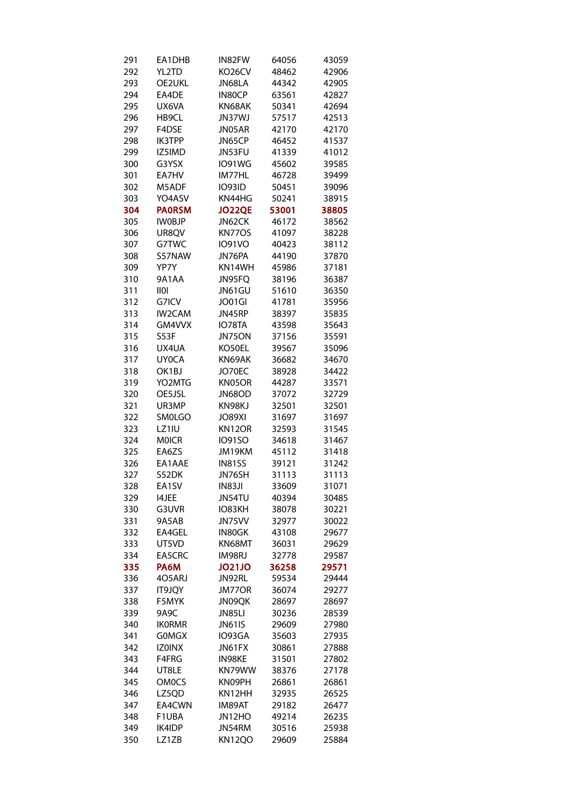| 291 | EA1DHB            | IN82FW        | 64056 | 43059 |
|-----|-------------------|---------------|-------|-------|
| 292 | YL2TD             | KO26CV        | 48462 | 42906 |
| 293 | OE2UKL            | JN68LA        | 44342 | 42905 |
| 294 | EA4DE             | IN80CP        | 63561 | 42827 |
| 295 | UX6VA             | KN68AK        | 50341 | 42694 |
| 296 | HB9CL             | <b>JN37WJ</b> | 57517 | 42513 |
| 297 | F4DSE             | JN05AR        | 42170 | 42170 |
| 298 | IK3TPP            | JN65CP        | 46452 | 41537 |
| 299 | IZ5IMD            | JN53FU        | 41339 | 41012 |
| 300 |                   |               |       |       |
|     | G3YSX             | <b>IO91WG</b> | 45602 | 39585 |
| 301 | EA7HV             | IM77HL        | 46728 | 39499 |
| 302 | M5ADF             | <b>IO93ID</b> | 50451 | 39096 |
| 303 | YO4ASV            | KN44HG        | 50241 | 38915 |
| 304 | <b>PAORSM</b>     | JO22QE        | 53001 | 38805 |
| 305 | <b>IWOBJP</b>     | JN62CK        | 46172 | 38562 |
| 306 | UR8QV             | KN77OS        | 41097 | 38228 |
| 307 | G7TWC             | <b>IO91VO</b> | 40423 | 38112 |
| 308 | S57NAW            | JN76PA        | 44190 | 37870 |
| 309 | YP7Y              | KN14WH        | 45986 | 37181 |
| 310 | 9A1AA             | JN95FQ        | 38196 | 36387 |
| 311 | $\overline{1101}$ | JN61GU        | 51610 | 36350 |
| 312 | G7ICV             | JO01GI        | 41781 | 35956 |
| 313 | IW2CAM            | JN45RP        | 38397 | 35835 |
| 314 | GM4VVX            | IO78TA        | 43598 | 35643 |
| 315 | S53F              | JN75ON        | 37156 | 35591 |
| 316 | UX4UA             | KO50EL        | 39567 | 35096 |
| 317 | <b>UY0CA</b>      | KN69AK        | 36682 | 34670 |
| 318 | OK1BJ             | JO70EC        |       |       |
|     |                   |               | 38928 | 34422 |
| 319 | YO2MTG            | KN05OR        | 44287 | 33571 |
| 320 | OE5JSL            | JN68OD        | 37072 | 32729 |
| 321 | UR3MP             | KN98KJ        | 32501 | 32501 |
| 322 | SM0LGO            | <b>JO89XI</b> | 31697 | 31697 |
| 323 | LZ1IU             | KN12OR        | 32593 | 31545 |
| 324 | <b>MOICR</b>      | <b>IO91SO</b> | 34618 | 31467 |
| 325 | EA6ZS             | JM19KM        | 45112 | 31418 |
| 326 | EA1AAE            | <b>IN81SS</b> | 39121 | 31242 |
| 327 | S52DK             | JN76SH        | 31113 | 31113 |
| 328 | EA1SV             | <b>IN83JI</b> | 33609 | 31071 |
| 329 | 14JEE             | JN54TU        | 40394 | 30485 |
| 330 | G3UVR             | IO83KH        | 38078 | 30221 |
| 331 | 9A5AB             | JN75VV        | 32977 | 30022 |
| 332 | EA4GEL            | IN80GK        | 43108 | 29677 |
| 333 | UT5VD             | KN68MT        | 36031 | 29629 |
| 334 | EA5CRC            | IM98RJ        | 32778 | 29587 |
| 335 | PA6M              | <b>JO21JO</b> | 36258 | 29571 |
| 336 | 4O5ARJ            | JN92RL        | 59534 | 29444 |
|     |                   |               |       |       |
| 337 | IT9JQY            | <b>JM77OR</b> | 36074 | 29277 |
| 338 | F5MYK             | JN09QK        | 28697 | 28697 |
| 339 | 9A9C              | JN85LI        | 30236 | 28539 |
| 340 | <b>IKORMR</b>     | <b>JN61IS</b> | 29609 | 27980 |
| 341 | <b>GOMGX</b>      | IO93GA        | 35603 | 27935 |
| 342 | <b>IZOINX</b>     | JN61FX        | 30861 | 27888 |
| 343 | F4FRG             | <b>IN98KE</b> | 31501 | 27802 |
| 344 | UT8LE             | KN79WW        | 38376 | 27178 |
| 345 | <b>OM0CS</b>      | KN09PH        | 26861 | 26861 |
| 346 | LZ5QD             | KN12HH        | 32935 | 26525 |
| 347 | EA4CWN            | IM89AT        | 29182 | 26477 |
| 348 | F1UBA             | JN12HO        | 49214 | 26235 |
| 349 | IK4IDP            | JN54RM        | 30516 | 25938 |
| 350 | LZ1ZB             | <b>KN12QO</b> | 29609 | 25884 |
|     |                   |               |       |       |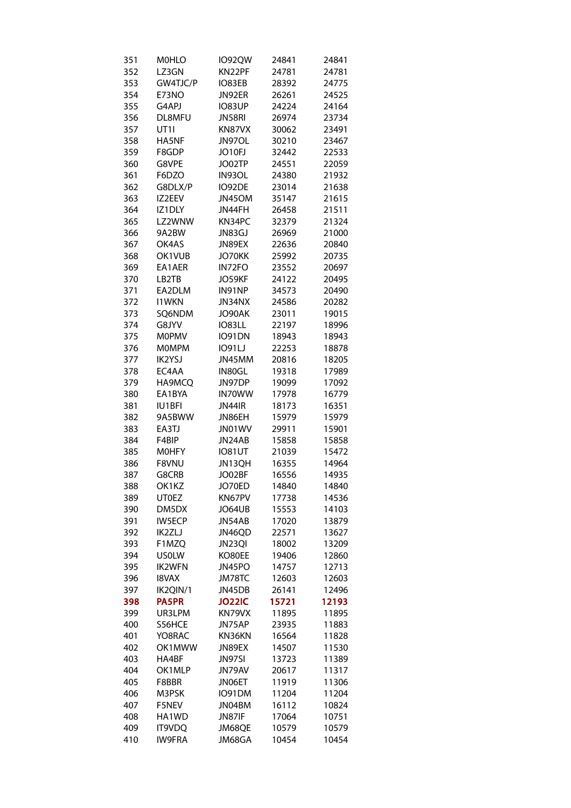| 351 | <b>MOHLO</b>     | <b>IO92QW</b> | 24841 | 24841 |
|-----|------------------|---------------|-------|-------|
| 352 | LZ3GN            | KN22PF        | 24781 | 24781 |
| 353 | GW4TJC/P         | IO83EB        | 28392 | 24775 |
| 354 | E73NO            | JN92ER        | 26261 | 24525 |
| 355 | G4APJ            | <b>IO83UP</b> | 24224 | 24164 |
| 356 | DL8MFU           | JN58RI        | 26974 | 23734 |
| 357 | UT <sub>11</sub> | KN87VX        | 30062 | 23491 |
| 358 | HA5NF            | JN97OL        | 30210 | 23467 |
| 359 | F8GDP            | JO10FJ        | 32442 | 22533 |
|     |                  |               |       |       |
| 360 | G8VPE            | JO02TP        | 24551 | 22059 |
| 361 | F6DZO            | IN93OL        | 24380 | 21932 |
| 362 | G8DLX/P          | IO92DE        | 23014 | 21638 |
| 363 | IZ2EEV           | JN45OM        | 35147 | 21615 |
| 364 | IZ1DLY           | JN44FH        | 26458 | 21511 |
| 365 | LZ2WNW           | KN34PC        | 32379 | 21324 |
| 366 | 9A2BW            | JN83GJ        | 26969 | 21000 |
| 367 | OK4AS            | JN89EX        | 22636 | 20840 |
| 368 | OK1VUB           | JO70KK        | 25992 | 20735 |
| 369 | EA1AER           | IN72FO        | 23552 | 20697 |
| 370 | LB2TB            | JO59KF        | 24122 | 20495 |
| 371 | EA2DLM           | IN91NP        | 34573 | 20490 |
| 372 | <b>I1WKN</b>     | JN34NX        | 24586 | 20282 |
| 373 | SQ6NDM           | JO90AK        | 23011 | 19015 |
| 374 | G8JYV            | <b>IO83LL</b> | 22197 | 18996 |
| 375 | MOPMV            | <b>IO91DN</b> | 18943 | 18943 |
| 376 | <b>MOMPM</b>     | <b>IO91LJ</b> | 22253 | 18878 |
| 377 | <b>IK2YSJ</b>    | JN45MM        | 20816 | 18205 |
| 378 | EC4AA            | IN80GL        | 19318 | 17989 |
|     |                  |               |       |       |
| 379 | HA9MCQ           | JN97DP        | 19099 | 17092 |
| 380 | EA1BYA           | IN70WW        | 17978 | 16779 |
| 381 | <b>IU1BFI</b>    | JN44IR        | 18173 | 16351 |
| 382 | 9A5BWW           | JN86EH        | 15979 | 15979 |
| 383 | EA3TJ            | JN01WV        | 29911 | 15901 |
| 384 | F4BIP            | JN24AB        | 15858 | 15858 |
| 385 | MOHFY            | <b>IO81UT</b> | 21039 | 15472 |
| 386 | F8VNU            | JN13QH        | 16355 | 14964 |
| 387 | G8CRB            | JO02BF        | 16556 | 14935 |
| 388 | OK1KZ            | JO70ED        | 14840 | 14840 |
| 389 | UTOEZ            | KN67PV        | 17738 | 14536 |
| 390 | DM5DX            | JO64UB        | 15553 | 14103 |
| 391 | IW5ECP           | JN54AB        | 17020 | 13879 |
| 392 | IK2ZLJ           | JN46QD        | 22571 | 13627 |
| 393 | F1MZQ            | JN23QI        | 18002 | 13209 |
| 394 | USOLW            | KO80EE        | 19406 | 12860 |
| 395 | IK2WFN           | JN45PO        | 14757 | 12713 |
| 396 | <b>I8VAX</b>     | JM78TC        | 12603 | 12603 |
| 397 | IK2QIN/1         | JN45DB        | 26141 | 12496 |
| 398 | <b>PA5PR</b>     | <b>JO22IC</b> | 15721 | 12193 |
|     |                  |               |       |       |
| 399 | UR3LPM           | KN79VX        | 11895 | 11895 |
| 400 | S56HCE           | JN75AP        | 23935 | 11883 |
| 401 | YO8RAC           | KN36KN        | 16564 | 11828 |
| 402 | OK1MWW           | JN89EX        | 14507 | 11530 |
| 403 | HA4BF            | JN97SI        | 13723 | 11389 |
| 404 | OK1MLP           | JN79AV        | 20617 | 11317 |
| 405 | F8BBR            | JN06ET        | 11919 | 11306 |
| 406 | M3PSK            | IO91DM        | 11204 | 11204 |
| 407 | F5NEV            | JN04BM        | 16112 | 10824 |
| 408 | HA1WD            | JN87IF        | 17064 | 10751 |
| 409 | <b>IT9VDQ</b>    | JM68QE        | 10579 | 10579 |
| 410 | IW9FRA           | JM68GA        | 10454 | 10454 |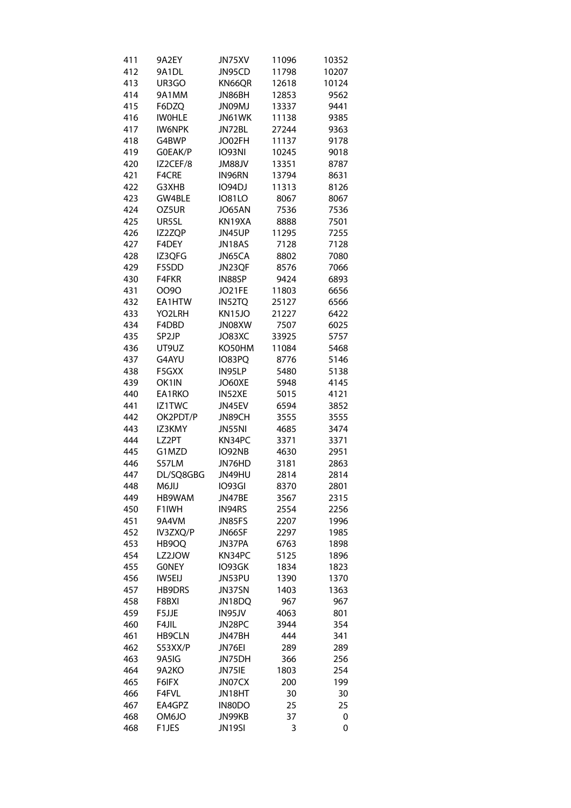| 411 | 9A2EY         | JN75XV             | 11096 | 10352 |
|-----|---------------|--------------------|-------|-------|
| 412 | 9A1DL         | JN95CD             | 11798 | 10207 |
| 413 | UR3GO         | KN66QR             | 12618 | 10124 |
| 414 | 9A1MM         | JN86BH             | 12853 | 9562  |
| 415 | F6DZQ         | <b>LMOONL</b>      | 13337 | 9441  |
| 416 | <b>IWOHLE</b> | JN61WK             | 11138 | 9385  |
| 417 | <b>IW6NPK</b> | JN72BL             | 27244 | 9363  |
| 418 | G4BWP         | JO02FH             | 11137 | 9178  |
| 419 | G0EAK/P       |                    | 10245 |       |
|     |               | <b>IO93NI</b>      |       | 9018  |
| 420 | IZ2CEF/8      | JM88JV             | 13351 | 8787  |
| 421 | F4CRE         | IN96RN             | 13794 | 8631  |
| 422 | G3XHB         | <b>IO94DJ</b>      | 11313 | 8126  |
| 423 | GW4BLE        | <b>IO81LO</b>      | 8067  | 8067  |
| 424 | OZ5UR         | JO65AN             | 7536  | 7536  |
| 425 | UR5SL         | KN19XA             | 8888  | 7501  |
| 426 | IZ2ZQP        | JN45UP             | 11295 | 7255  |
| 427 | F4DEY         | JN18AS             | 7128  | 7128  |
| 428 | IZ3QFG        | JN65CA             | 8802  | 7080  |
| 429 | F5SDD         | JN23QF             | 8576  | 7066  |
| 430 | F4FKR         | IN88SP             | 9424  | 6893  |
| 431 | 0090          | JO21FE             | 11803 | 6656  |
| 432 | EA1HTW        | IN52TQ             | 25127 | 6566  |
| 433 | YO2LRH        | KN15JO             | 21227 | 6422  |
| 434 | F4DBD         | JN08XW             | 7507  | 6025  |
| 435 | SP2JP         | JO83XC             | 33925 | 5757  |
| 436 | UT9UZ         | KO50HM             | 11084 | 5468  |
| 437 | G4AYU         | IO83PQ             | 8776  | 5146  |
|     |               |                    |       |       |
| 438 | F5GXX         | IN95LP             | 5480  | 5138  |
| 439 | OK1IN         | JO60XE             | 5948  | 4145  |
| 440 | EA1RKO        | IN52XE             | 5015  | 4121  |
| 441 | IZ1TWC        | JN45EV             | 6594  | 3852  |
| 442 | OK2PDT/P      | JN89CH             | 3555  | 3555  |
| 443 | IZ3KMY        | JN55NI             | 4685  | 3474  |
| 444 | LZ2PT         | KN34PC             | 3371  | 3371  |
| 445 | G1MZD         | IO92NB             | 4630  | 2951  |
| 446 | S57LM         | JN76HD             | 3181  | 2863  |
| 447 | DL/SQ8GBG     | JN49HU             | 2814  | 2814  |
| 448 | LILOM         | IO93GI             | 8370  | 2801  |
| 449 | HB9WAM        | JN47BE             | 3567  | 2315  |
| 450 | F1IWH         | IN94RS             | 2554  | 2256  |
| 451 | 9A4VM         | JN85FS             | 2207  | 1996  |
| 452 | IV3ZXQ/P      | JN66SF             | 2297  | 1985  |
| 453 | HB9OQ         | JN37PA             | 6763  | 1898  |
| 454 | LZ2JOW        | KN34PC             | 5125  | 1896  |
| 455 | <b>GONEY</b>  | IO93GK             | 1834  | 1823  |
| 456 | <b>IW5EIJ</b> | JN53PU             | 1390  | 1370  |
| 457 | HB9DRS        | JN37SN             | 1403  | 1363  |
| 458 | F8BXI         | JN18DQ             | 967   | 967   |
|     |               |                    |       |       |
| 459 | F5JJE         | IN95JV             | 4063  | 801   |
| 460 | F4JIL         | JN28PC             | 3944  | 354   |
| 461 | HB9CLN        | JN47BH             | 444   | 341   |
| 462 | S53XX/P       | JN76EI             | 289   | 289   |
| 463 | 9A5IG         | JN75DH             | 366   | 256   |
| 464 | 9A2KO         | JN75IE             | 1803  | 254   |
| 465 | F6IFX         | JN07CX             | 200   | 199   |
| 466 | F4FVL         | JN18HT             | 30    | 30    |
| 467 | EA4GPZ        | IN80DO             | 25    | 25    |
| 468 | OM6JO         | JN99KB             | 37    | 0     |
| 468 | F1JES         | JN <sub>19SI</sub> | 3     | 0     |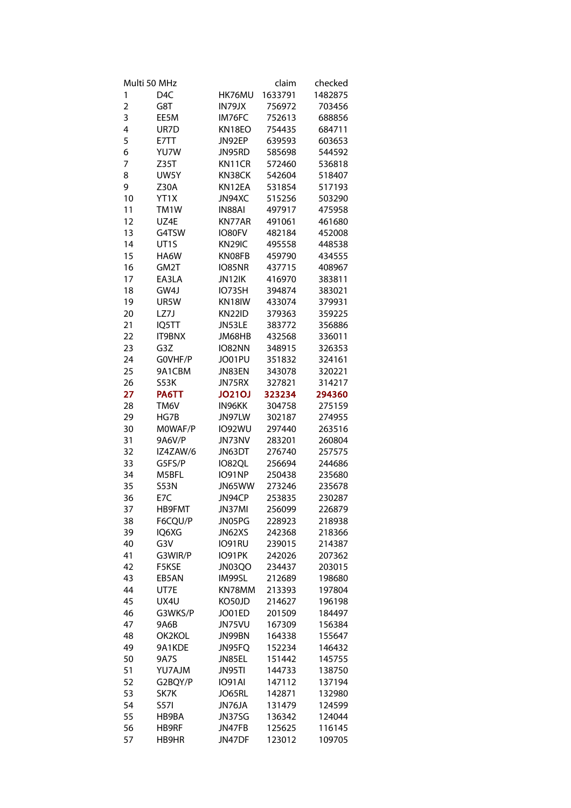| Multi 50 MHz            |                   |               | claim   | checked |
|-------------------------|-------------------|---------------|---------|---------|
| 1                       | D <sub>4</sub> C  | HK76MU        | 1633791 | 1482875 |
| $\overline{\mathbf{c}}$ | G8T               | IN79JX        | 756972  | 703456  |
| 3                       | EE5M              | IM76FC        | 752613  | 688856  |
| 4                       | UR7D              | KN18EO        | 754435  | 684711  |
| 5                       | E7TT              | JN92EP        | 639593  | 603653  |
| 6                       | YU7W              | JN95RD        | 585698  | 544592  |
| 7                       | Z35T              | KN11CR        | 572460  | 536818  |
| 8                       | UW5Y              | KN38CK        | 542604  | 518407  |
| 9                       | Z30A              | KN12EA        | 531854  | 517193  |
| 10                      | YT1X              | JN94XC        | 515256  | 503290  |
| 11                      | TM1W              | IN88AI        | 497917  | 475958  |
| 12                      | UZ4E              | KN77AR        | 491061  | 461680  |
| 13                      | G4TSW             | IO80FV        | 482184  | 452008  |
| 14                      | UT <sub>1</sub> S | KN29IC        | 495558  | 448538  |
| 15                      | HA6W              | KN08FB        | 459790  | 434555  |
| 16                      | GM2T              | IO85NR        | 437715  | 408967  |
| 17                      | EA3LA             | JN12IK        | 416970  | 383811  |
| 18                      | GW4J              | IO73SH        | 394874  | 383021  |
| 19                      | UR5W              | KN18IW        | 433074  | 379931  |
| 20                      | LZ7J              | KN22ID        | 379363  | 359225  |
| 21                      | IQ5TT             | JN53LE        | 383772  | 356886  |
| 22                      | <b>IT9BNX</b>     | JM68HB        | 432568  | 336011  |
| 23                      | G3Z               | IO82NN        | 348915  | 326353  |
| 24                      | GOVHF/P           | JO01PU        | 351832  | 324161  |
| 25                      | 9A1CBM            | JN83EN        | 343078  | 320221  |
| 26                      | S53K              | JN75RX        | 327821  | 314217  |
| 27                      | PA6TT             | <b>JO21OJ</b> | 323234  | 294360  |
| 28                      | TM6V              | IN96KK        | 304758  | 275159  |
| 29                      | HG7B              | JN97LW        | 302187  | 274955  |
| 30                      | MOWAF/P           | <b>IO92WU</b> | 297440  | 263516  |
| 31                      | 9A6V/P            | JN73NV        | 283201  | 260804  |
| 32                      | IZ4ZAW/6          | JN63DT        | 276740  | 257575  |
| 33                      | G5FS/P            | IO82QL        | 256694  | 244686  |
| 34                      | M5BFL             | <b>IO91NP</b> | 250438  | 235680  |
| 35                      | <b>S53N</b>       | JN65WW        | 273246  | 235678  |
| 36                      | E7C               | JN94CP        | 253835  | 230287  |
| 37                      | HB9FMT            | JN37MI        | 256099  | 226879  |
| 38                      | F6CQU/P           | JN05PG        | 228923  | 218938  |
| 39                      | IQ6XG             | JN62XS        | 242368  | 218366  |
| 40                      | G3V               | IO91RU        | 239015  | 214387  |
| 41                      | G3WIR/P           | IO91PK        | 242026  | 207362  |
| 42                      | F5KSE             | JN03QO        | 234437  | 203015  |
| 43                      | EB5AN             | IM99SL        | 212689  | 198680  |
| 44                      | UT7E              | KN78MM        | 213393  | 197804  |
| 45                      | UX4U              | KO50JD        | 214627  | 196198  |
| 46                      | G3WKS/P           | JO01ED        | 201509  | 184497  |
| 47                      | 9A6B              | JN75VU        | 167309  | 156384  |
| 48                      | OK2KOL            | JN99BN        | 164338  | 155647  |
| 49                      | 9A1KDE            | JN95FQ        | 152234  | 146432  |
| 50                      | 9A7S              | JN85EL        | 151442  | 145755  |
| 51                      | YU7AJM            | JN95TI        | 144733  | 138750  |
| 52                      | G2BQY/P           | <b>IO91AI</b> | 147112  | 137194  |
| 53                      | SK7K              | JO65RL        | 142871  | 132980  |
| 54                      | S57I              | JN76JA        | 131479  | 124599  |
| 55                      | HB9BA             | JN37SG        | 136342  | 124044  |
| 56                      | HB9RF             | JN47FB        | 125625  | 116145  |
| 57                      | HB9HR             | JN47DF        | 123012  | 109705  |